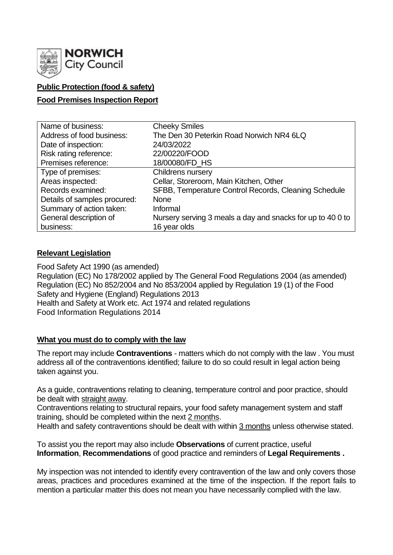

# **Public Protection (food & safety)**

## **Food Premises Inspection Report**

| Name of business:            | <b>Cheeky Smiles</b>                                       |
|------------------------------|------------------------------------------------------------|
| Address of food business:    | The Den 30 Peterkin Road Norwich NR4 6LQ                   |
| Date of inspection:          | 24/03/2022                                                 |
| Risk rating reference:       | 22/00220/FOOD                                              |
| Premises reference:          | 18/00080/FD HS                                             |
| Type of premises:            | Childrens nursery                                          |
| Areas inspected:             | Cellar, Storeroom, Main Kitchen, Other                     |
| Records examined:            | SFBB, Temperature Control Records, Cleaning Schedule       |
| Details of samples procured: | <b>None</b>                                                |
| Summary of action taken:     | Informal                                                   |
| General description of       | Nursery serving 3 meals a day and snacks for up to 40 0 to |
| business:                    | 16 year olds                                               |

### **Relevant Legislation**

Food Safety Act 1990 (as amended) Regulation (EC) No 178/2002 applied by The General Food Regulations 2004 (as amended) Regulation (EC) No 852/2004 and No 853/2004 applied by Regulation 19 (1) of the Food Safety and Hygiene (England) Regulations 2013 Health and Safety at Work etc. Act 1974 and related regulations Food Information Regulations 2014

### **What you must do to comply with the law**

The report may include **Contraventions** - matters which do not comply with the law . You must address all of the contraventions identified; failure to do so could result in legal action being taken against you.

As a guide, contraventions relating to cleaning, temperature control and poor practice, should be dealt with straight away.

Contraventions relating to structural repairs, your food safety management system and staff training, should be completed within the next 2 months.

Health and safety contraventions should be dealt with within 3 months unless otherwise stated.

To assist you the report may also include **Observations** of current practice, useful **Information**, **Recommendations** of good practice and reminders of **Legal Requirements .**

My inspection was not intended to identify every contravention of the law and only covers those areas, practices and procedures examined at the time of the inspection. If the report fails to mention a particular matter this does not mean you have necessarily complied with the law.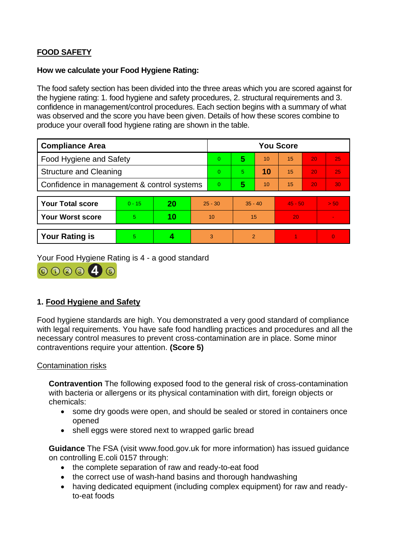# **FOOD SAFETY**

## **How we calculate your Food Hygiene Rating:**

The food safety section has been divided into the three areas which you are scored against for the hygiene rating: 1. food hygiene and safety procedures, 2. structural requirements and 3. confidence in management/control procedures. Each section begins with a summary of what was observed and the score you have been given. Details of how these scores combine to produce your overall food hygiene rating are shown in the table.

| <b>Compliance Area</b>                     |          |    |           | <b>You Score</b> |           |    |           |    |                |  |  |
|--------------------------------------------|----------|----|-----------|------------------|-----------|----|-----------|----|----------------|--|--|
| <b>Food Hygiene and Safety</b>             |          |    |           | $\overline{0}$   | 5         | 10 | 15        | 20 | 25             |  |  |
| <b>Structure and Cleaning</b>              |          |    |           | $\Omega$         | 5.        | 10 | 15        | 20 | 25             |  |  |
| Confidence in management & control systems |          |    |           | $\Omega$         | 5         | 10 | 15        | 20 | 30             |  |  |
|                                            |          |    |           |                  |           |    |           |    |                |  |  |
| <b>Your Total score</b>                    | $0 - 15$ | 20 | $25 - 30$ |                  | $35 - 40$ |    | $45 - 50$ |    | > 50           |  |  |
| <b>Your Worst score</b>                    | 5        | 10 | 10        |                  | 15        |    | 20        |    | $\blacksquare$ |  |  |
|                                            |          |    |           |                  |           |    |           |    |                |  |  |
| <b>Your Rating is</b>                      | 5        |    |           | 3                | 2         |    |           |    | $\overline{0}$ |  |  |

Your Food Hygiene Rating is 4 - a good standard



# **1. Food Hygiene and Safety**

Food hygiene standards are high. You demonstrated a very good standard of compliance with legal requirements. You have safe food handling practices and procedures and all the necessary control measures to prevent cross-contamination are in place. Some minor contraventions require your attention. **(Score 5)**

### Contamination risks

**Contravention** The following exposed food to the general risk of cross-contamination with bacteria or allergens or its physical contamination with dirt, foreign objects or chemicals:

- some dry goods were open, and should be sealed or stored in containers once opened
- shell eggs were stored next to wrapped garlic bread

**Guidance** The FSA (visit www.food.gov.uk for more information) has issued guidance on controlling E.coli 0157 through:

- the complete separation of raw and ready-to-eat food
- the correct use of wash-hand basins and thorough handwashing
- having dedicated equipment (including complex equipment) for raw and readyto-eat foods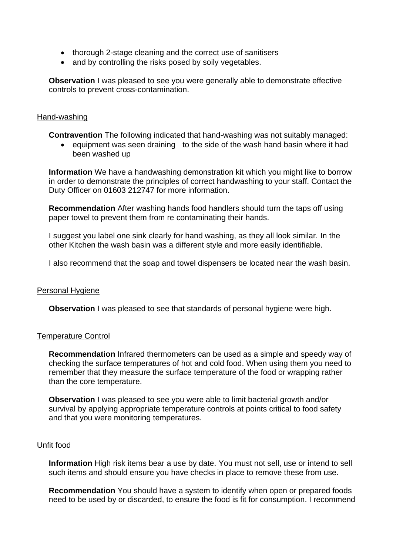- thorough 2-stage cleaning and the correct use of sanitisers
- and by controlling the risks posed by soily vegetables.

**Observation** I was pleased to see you were generally able to demonstrate effective controls to prevent cross-contamination.

#### Hand-washing

**Contravention** The following indicated that hand-washing was not suitably managed:

• equipment was seen draining to the side of the wash hand basin where it had been washed up

**Information** We have a handwashing demonstration kit which you might like to borrow in order to demonstrate the principles of correct handwashing to your staff. Contact the Duty Officer on 01603 212747 for more information.

**Recommendation** After washing hands food handlers should turn the taps off using paper towel to prevent them from re contaminating their hands.

I suggest you label one sink clearly for hand washing, as they all look similar. In the other Kitchen the wash basin was a different style and more easily identifiable.

I also recommend that the soap and towel dispensers be located near the wash basin.

#### Personal Hygiene

**Observation** I was pleased to see that standards of personal hygiene were high.

#### Temperature Control

**Recommendation** Infrared thermometers can be used as a simple and speedy way of checking the surface temperatures of hot and cold food. When using them you need to remember that they measure the surface temperature of the food or wrapping rather than the core temperature.

**Observation** I was pleased to see you were able to limit bacterial growth and/or survival by applying appropriate temperature controls at points critical to food safety and that you were monitoring temperatures.

#### Unfit food

**Information** High risk items bear a use by date. You must not sell, use or intend to sell such items and should ensure you have checks in place to remove these from use.

**Recommendation** You should have a system to identify when open or prepared foods need to be used by or discarded, to ensure the food is fit for consumption. I recommend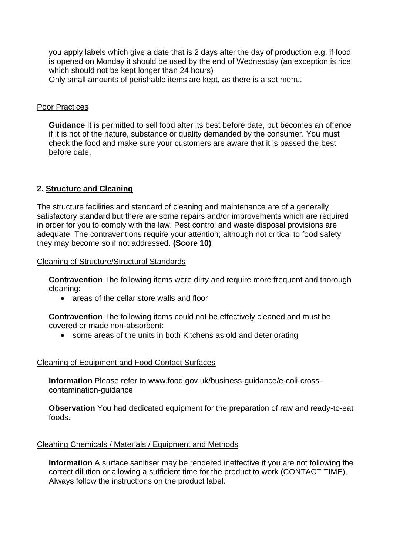you apply labels which give a date that is 2 days after the day of production e.g. if food is opened on Monday it should be used by the end of Wednesday (an exception is rice which should not be kept longer than 24 hours)

Only small amounts of perishable items are kept, as there is a set menu.

#### Poor Practices

**Guidance** It is permitted to sell food after its best before date, but becomes an offence if it is not of the nature, substance or quality demanded by the consumer. You must check the food and make sure your customers are aware that it is passed the best before date.

# **2. Structure and Cleaning**

The structure facilities and standard of cleaning and maintenance are of a generally satisfactory standard but there are some repairs and/or improvements which are required in order for you to comply with the law. Pest control and waste disposal provisions are adequate. The contraventions require your attention; although not critical to food safety they may become so if not addressed. **(Score 10)**

Cleaning of Structure/Structural Standards

**Contravention** The following items were dirty and require more frequent and thorough cleaning:

• areas of the cellar store walls and floor

**Contravention** The following items could not be effectively cleaned and must be covered or made non-absorbent:

• some areas of the units in both Kitchens as old and deteriorating

### Cleaning of Equipment and Food Contact Surfaces

**Information** Please refer to www.food.gov.uk/business-guidance/e-coli-crosscontamination-guidance

**Observation** You had dedicated equipment for the preparation of raw and ready-to-eat foods.

#### Cleaning Chemicals / Materials / Equipment and Methods

**Information** A surface sanitiser may be rendered ineffective if you are not following the correct dilution or allowing a sufficient time for the product to work (CONTACT TIME). Always follow the instructions on the product label.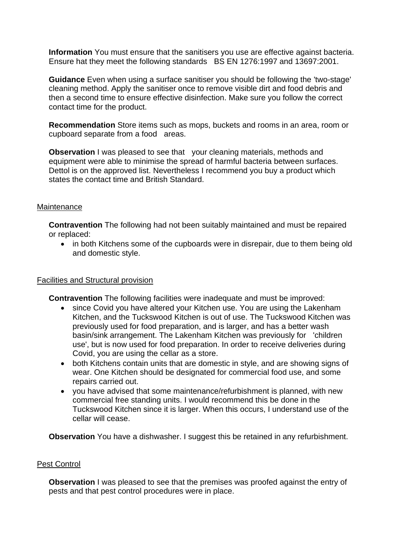**Information** You must ensure that the sanitisers you use are effective against bacteria. Ensure hat they meet the following standards BS EN 1276:1997 and 13697:2001.

**Guidance** Even when using a surface sanitiser you should be following the 'two-stage' cleaning method. Apply the sanitiser once to remove visible dirt and food debris and then a second time to ensure effective disinfection. Make sure you follow the correct contact time for the product.

**Recommendation** Store items such as mops, buckets and rooms in an area, room or cupboard separate from a food areas.

**Observation I** was pleased to see that your cleaning materials, methods and equipment were able to minimise the spread of harmful bacteria between surfaces. Dettol is on the approved list. Nevertheless I recommend you buy a product which states the contact time and British Standard.

### **Maintenance**

**Contravention** The following had not been suitably maintained and must be repaired or replaced:

• in both Kitchens some of the cupboards were in disrepair, due to them being old and domestic style.

#### Facilities and Structural provision

**Contravention** The following facilities were inadequate and must be improved:

- since Covid you have altered your Kitchen use. You are using the Lakenham Kitchen, and the Tuckswood Kitchen is out of use. The Tuckswood Kitchen was previously used for food preparation, and is larger, and has a better wash basin/sink arrangement. The Lakenham Kitchen was previously for 'children use', but is now used for food preparation. In order to receive deliveries during Covid, you are using the cellar as a store.
- both Kitchens contain units that are domestic in style, and are showing signs of wear. One Kitchen should be designated for commercial food use, and some repairs carried out.
- you have advised that some maintenance/refurbishment is planned, with new commercial free standing units. I would recommend this be done in the Tuckswood Kitchen since it is larger. When this occurs, I understand use of the cellar will cease.

**Observation** You have a dishwasher. I suggest this be retained in any refurbishment.

#### Pest Control

**Observation** I was pleased to see that the premises was proofed against the entry of pests and that pest control procedures were in place.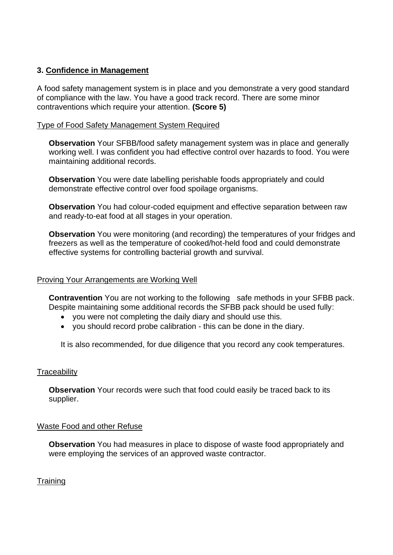# **3. Confidence in Management**

A food safety management system is in place and you demonstrate a very good standard of compliance with the law. You have a good track record. There are some minor contraventions which require your attention. **(Score 5)**

# Type of Food Safety Management System Required

**Observation** Your SFBB/food safety management system was in place and generally working well. I was confident you had effective control over hazards to food. You were maintaining additional records.

**Observation** You were date labelling perishable foods appropriately and could demonstrate effective control over food spoilage organisms.

**Observation** You had colour-coded equipment and effective separation between raw and ready-to-eat food at all stages in your operation.

**Observation** You were monitoring (and recording) the temperatures of your fridges and freezers as well as the temperature of cooked/hot-held food and could demonstrate effective systems for controlling bacterial growth and survival.

### Proving Your Arrangements are Working Well

**Contravention** You are not working to the following safe methods in your SFBB pack. Despite maintaining some additional records the SFBB pack should be used fully:

- you were not completing the daily diary and should use this.
- you should record probe calibration this can be done in the diary.

It is also recommended, for due diligence that you record any cook temperatures.

### **Traceability**

**Observation** Your records were such that food could easily be traced back to its supplier.

### Waste Food and other Refuse

**Observation** You had measures in place to dispose of waste food appropriately and were employing the services of an approved waste contractor.

**Training**